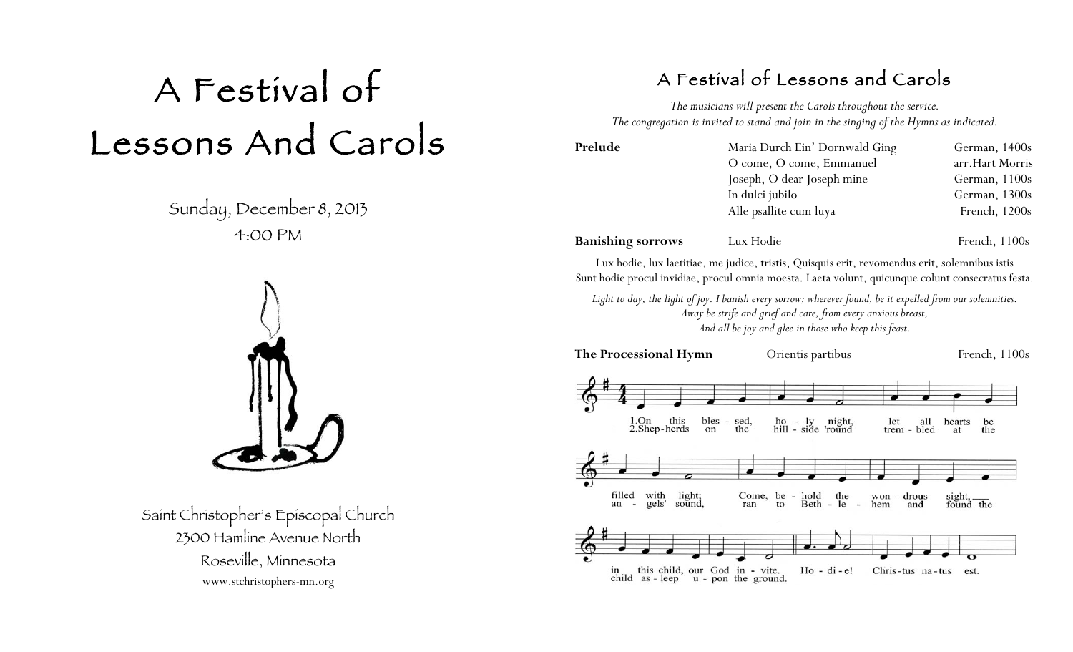# A Festival of Lessons And Carols

Sunday, December 8, 2013 4:00 PM



Saint Christopher's Episcopal Church 2300 Hamline Avenue North Roseville, Minnesota www.stchristophers-mn.org

# A Festival of Lessons and Carols

*The musicians will present the Carols throughout the service. The congregation is invited to stand and join in the singing of the Hymns as indicated.*

| Prelude                  | Maria Durch Ein' Dornwald Ging                                                                 | German, $1400s$ |  |
|--------------------------|------------------------------------------------------------------------------------------------|-----------------|--|
|                          | O come, O come, Emmanuel                                                                       | arr.Hart Morris |  |
|                          | Joseph, O dear Joseph mine                                                                     | German, 1100s   |  |
|                          | In dulci jubilo                                                                                | German, 1300s   |  |
|                          | Alle psallite cum luya                                                                         | French, 1200s   |  |
| <b>Banishing sorrows</b> | Lux Hodie                                                                                      | French, 1100s   |  |
|                          | Lux hodie, lux laetitiae, me judice, tristis, Quisquis erit, revomendus erit, solemnibus istis |                 |  |

Sunt hodie procul invidiae, procul omnia moesta. Laeta volunt, quicunque colunt consecratus festa.

*Light to day, the light of joy. I banish every sorrow; wherever found, be it expelled from our solemnities. Away be strife and grief and care, from every anxious breast, And all be joy and glee in those who keep this feast.*

**The Processional Hymn** Orientis partibus French, 1100s



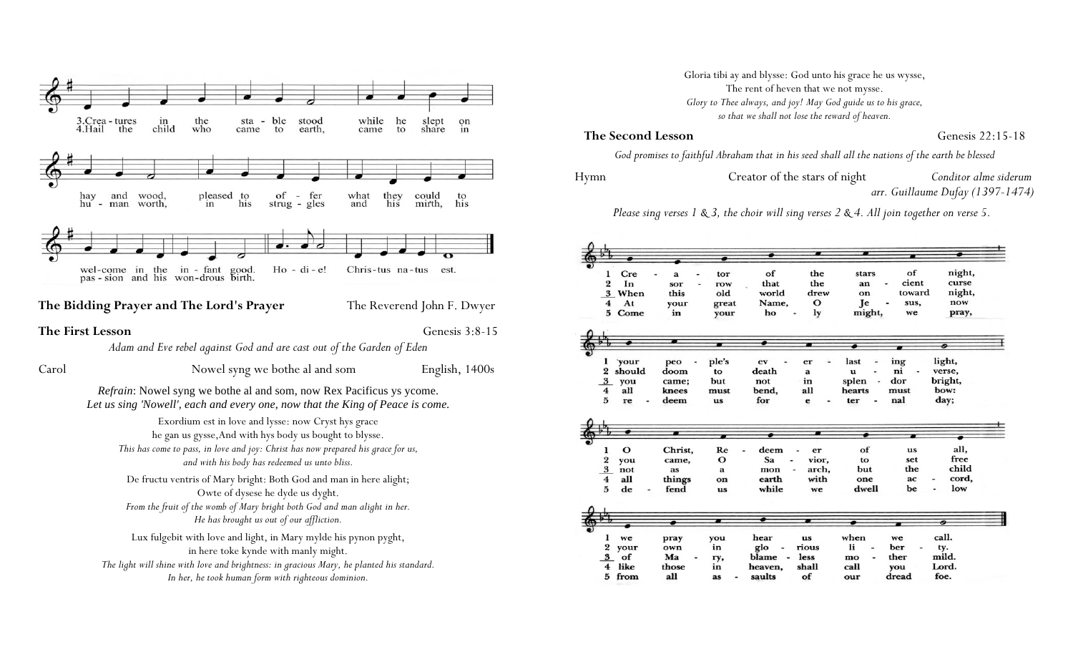

|      |                              |              |                          |                | The rent of heven that we not mysse.                          |               |            |                 |                                                                                                 |  |
|------|------------------------------|--------------|--------------------------|----------------|---------------------------------------------------------------|---------------|------------|-----------------|-------------------------------------------------------------------------------------------------|--|
|      |                              |              |                          |                | Glory to Thee always, and joy! May God guide us to his grace, |               |            |                 |                                                                                                 |  |
|      |                              |              |                          |                | so that we shall not lose the reward of heaven.               |               |            |                 |                                                                                                 |  |
|      |                              |              | <b>The Second Lesson</b> |                |                                                               |               |            |                 | Genesis 22:15-18                                                                                |  |
|      |                              |              |                          |                |                                                               |               |            |                 | God promises to faithful Abraham that in his seed shall all the nations of the earth be blessed |  |
| Hymn |                              |              |                          |                | Creator of the stars of night                                 |               |            |                 | Conditor alme siderum                                                                           |  |
|      |                              |              |                          |                |                                                               |               |            |                 | arr. Guillaume Dufay (1397-1474)                                                                |  |
|      |                              |              |                          |                |                                                               |               |            |                 | Please sing verses 1 & 3, the choir will sing verses 2 & 4. All join together on verse 5.       |  |
|      |                              |              |                          |                |                                                               |               |            |                 |                                                                                                 |  |
|      |                              |              |                          |                |                                                               |               |            |                 |                                                                                                 |  |
|      |                              |              |                          |                |                                                               |               |            |                 |                                                                                                 |  |
|      | ı                            | Cre          | $\mathbf a$              | tor            | of                                                            | the           | stars      | of              | night,                                                                                          |  |
|      | 2                            | In           | sor                      | row            | that                                                          | the           | an         | cient<br>toward | curse                                                                                           |  |
|      | 4                            | 3 When<br>At | this<br>your             | old<br>great   | world<br>Name,                                                | drew<br>О     | on<br>Je   | sus,            | night,<br>now                                                                                   |  |
|      | 5                            | Come         | in                       | your           | ho                                                            | ly            | might,     | we              | pray,                                                                                           |  |
|      |                              |              |                          |                |                                                               |               |            |                 |                                                                                                 |  |
|      |                              |              |                          |                |                                                               |               |            |                 |                                                                                                 |  |
|      | ı                            | your         | peo                      | ple's          | ev                                                            | er            | last       | ing             | light,                                                                                          |  |
|      | $\overline{2}$               | should       | doom                     | to             | death                                                         | a             | u          | ni              | verse,                                                                                          |  |
|      | 3                            | you          | came;                    | but            | not                                                           | in            | splen      | dor             | bright,                                                                                         |  |
|      | 4                            | all          | knees                    | must           | bend,                                                         | all           | hearts     | must            | bow:                                                                                            |  |
|      | 5                            | re           | deem                     | us             | for                                                           | e             | ter        | nal             | day;                                                                                            |  |
|      |                              |              |                          |                |                                                               |               |            |                 |                                                                                                 |  |
|      |                              |              |                          |                |                                                               |               |            |                 |                                                                                                 |  |
|      | ı                            | О            | Christ,                  | Re             | deem                                                          | er            | of         | us              | all,                                                                                            |  |
|      | 2                            | you          | came,                    | О              | Sa                                                            | vior,         | to<br>but  | set<br>the      | free<br>child                                                                                   |  |
|      | $\overline{\mathbf{3}}$<br>4 | not<br>all   | as<br>things             | a<br>on        | mon<br>earth                                                  | arch,<br>with | one        | ac              | cord,                                                                                           |  |
|      | 5                            | de           | fend                     | us             | while                                                         | we            | dwell      | be              | low                                                                                             |  |
|      |                              |              |                          |                |                                                               |               |            |                 |                                                                                                 |  |
|      |                              |              |                          | $\blacksquare$ |                                                               |               |            |                 | ଵ                                                                                               |  |
|      |                              |              |                          |                |                                                               |               |            |                 |                                                                                                 |  |
|      | ı<br>2                       | we<br>your   | pray<br>own              | you<br>in      | hear<br>glo                                                   | us<br>rious   | when<br>li | we<br>ber       | call.<br>ty.                                                                                    |  |
|      | 3                            | of           | Ma                       | гу,            | blame<br>٠                                                    | less          | mo         | ther            | mild.                                                                                           |  |
|      | 4                            | like         | those                    | in             | heaven,                                                       | shall         | call       | you             | Lord.                                                                                           |  |
|      | 5                            | from         | all                      | as             | saults                                                        | of            | our        | dread           | foe.                                                                                            |  |

Gloria tibi ay and blysse: God unto his grace he us wysse,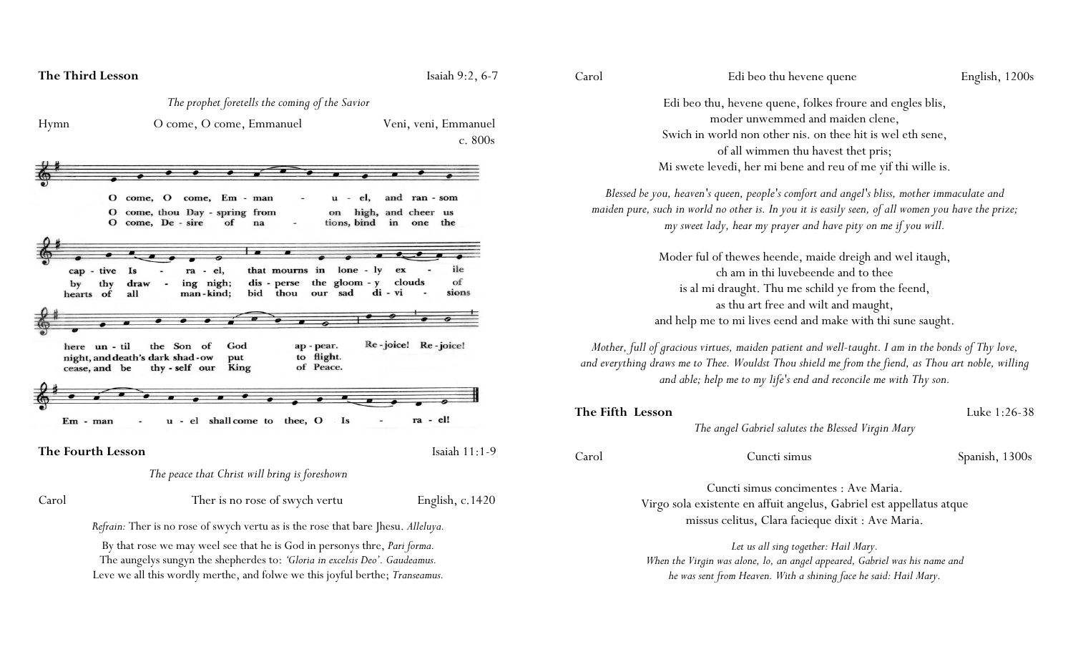|       | <b>The Third Lesson</b>                                                                                                                                                                                                                          | Isaiah $9:2, 6-7$                                       |
|-------|--------------------------------------------------------------------------------------------------------------------------------------------------------------------------------------------------------------------------------------------------|---------------------------------------------------------|
|       | The prophet foretells the coming of the Savior                                                                                                                                                                                                   |                                                         |
| Hymn  | O come, O come, Emmanuel                                                                                                                                                                                                                         | Veni, veni, Emmanuel<br>c. 800s                         |
|       |                                                                                                                                                                                                                                                  |                                                         |
|       |                                                                                                                                                                                                                                                  |                                                         |
|       | el,<br>O come, O<br>come, Em - man<br>u<br>O come, thou Day - spring from<br>on<br>O come, De - sire<br>tions, bind<br>of<br>na                                                                                                                  | and ran - som<br>high, and cheer us<br>in<br>the<br>one |
|       |                                                                                                                                                                                                                                                  |                                                         |
|       | $lone - ly$<br>Is<br>- el,<br>that mourns in<br>cap - tive<br>ra                                                                                                                                                                                 | ile<br>ex                                               |
| by    | the gloom $-y$<br>ing nigh;<br>dis - perse<br>draw<br>thy<br>thou<br>sad<br>man-kind;<br>bid<br>all<br>our<br>hearts of                                                                                                                          | of<br>clouds<br>sions<br>di - vi                        |
|       |                                                                                                                                                                                                                                                  |                                                         |
|       | God<br>here un - til<br>the Son<br>of<br>ap - pear.<br>to flight.<br>night, and death's dark shad-ow<br>put<br>of Peace.<br>thy - self our<br>King<br>cease, and be                                                                              | Re-joice! Re-joice!                                     |
|       |                                                                                                                                                                                                                                                  |                                                         |
|       |                                                                                                                                                                                                                                                  |                                                         |
|       | shall come to thee, O<br>Is<br>u - el<br>Em - man                                                                                                                                                                                                | ra - el!                                                |
|       | The Fourth Lesson                                                                                                                                                                                                                                | Isaiah 11:1-9                                           |
|       | The peace that Christ will bring is foreshown                                                                                                                                                                                                    |                                                         |
| Carol | Ther is no rose of swych vertu                                                                                                                                                                                                                   | English, $c.1420$                                       |
|       | Refrain: Ther is no rose of swych vertu as is the rose that bare Jhesu. Alleluya.                                                                                                                                                                |                                                         |
|       | By that rose we may weel see that he is God in personys thre, <i>Pari forma</i> .<br>The aungelys sungyn the shepherdes to: 'Gloria in excelsis Deo'. Gaudeamus.<br>Leve we all this wordly merthe, and folwe we this joyful berthe; Transeamus. |                                                         |

| . r |  |
|-----|--|

#### Edi beo thu hevene quene English, 1200s

Edi beo thu, hevene quene, folkes froure and engles blis, moder unwemmed and maiden clene, Swich in world non other nis. on thee hit is wel eth sene, of all wimmen thu havest thet pris; Mi swete levedi, her mi bene and reu of me yif thi wille is.

*Blessed be you, heaven's queen, people's comfort and angel's bliss, mother immaculate and maiden pure, such in world no other is. In you it is easily seen, of all women you have the prize; my sweet lady, hear my prayer and have pity on me if you will.*

> Moder ful of thewes heende, maide dreigh and wel itaugh, ch am in thi luvebeende and to thee is al mi draught. Thu me schild ye from the feend, as thu art free and wilt and maught, and help me to mi lives eend and make with thi sune saught.

*Mother, full of gracious virtues, maiden patient and well-taught. I am in the bonds of Thy love, and everything draws me to Thee. Wouldst Thou shield me from the fiend, as Thou art noble, willing and able; help me to my life's end and reconcile me with Thy son.*

| The Fifth Lesson |                                                                            | Luke 1:26-38   |
|------------------|----------------------------------------------------------------------------|----------------|
|                  | The angel Gabriel salutes the Blessed Virgin Mary                          |                |
| Carol            | Cuncti simus                                                               | Spanish, 1300s |
|                  | Cuncti simus concimentes : Ave Maria.                                      |                |
|                  | Virgo sola existente en affuit angelus, Gabriel est appellatus atque       |                |
|                  | missus celitus, Clara facieque dixit : Ave Maria.                          |                |
|                  | Let us all sing together: Hail Mary.                                       |                |
|                  | When the Virgin was alone, lo, an angel appeared, Gabriel was his name and |                |

*he was sent from Heaven. With a shining face he said: Hail Mary.*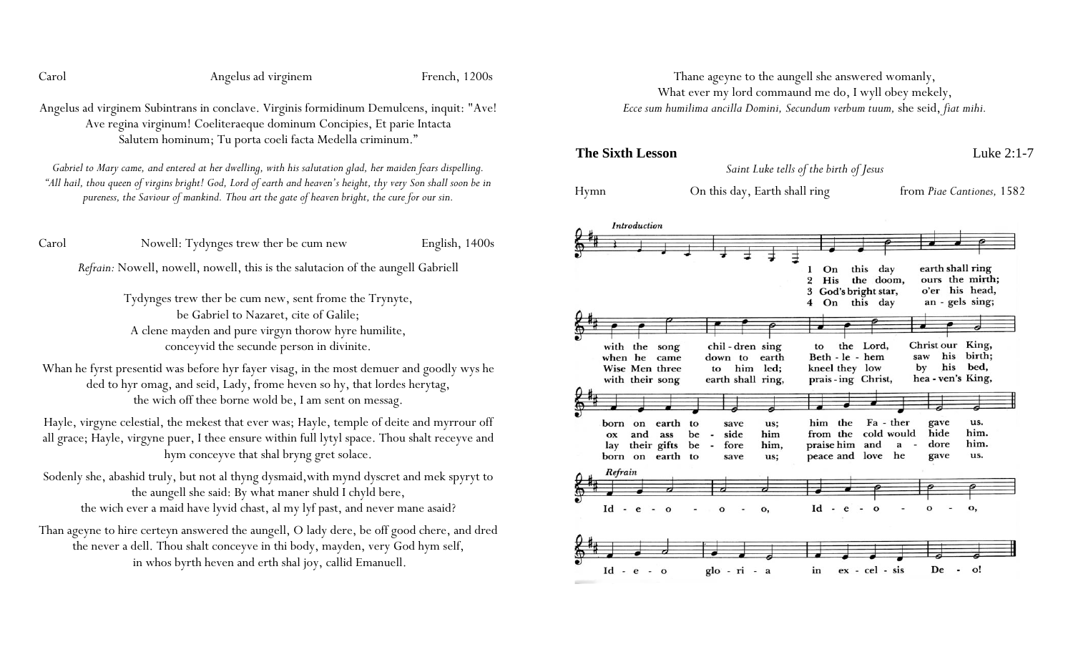Carol Angelus ad virginem French, 1200s

Angelus ad virginem Subintrans in conclave. Virginis formidinum Demulcens, inquit: "Ave! Ave regina virginum! Coeliteraeque dominum Concipies, Et parie Intacta Salutem hominum; Tu porta coeli facta Medella criminum."

*Gabriel to Mary came, and entered at her dwelling, with his salutation glad, her maiden fears dispelling. "All hail, thou queen of virgins bright! God, Lord of earth and heaven's height, thy very Son shall soon be in pureness, the Saviour of mankind. Thou art the gate of heaven bright, the cure for our sin.*

Carol Nowell: Tydynges trew ther be cum new English, 1400s

*Refrain:* Nowell, nowell, nowell, this is the salutacion of the aungell Gabriell

Tydynges trew ther be cum new, sent frome the Trynyte, be Gabriel to Nazaret, cite of Galile; A clene mayden and pure virgyn thorow hyre humilite, conceyvid the secunde person in divinite.

Whan he fyrst presentid was before hyr fayer visag, in the most demuer and goodly wys he ded to hyr omag, and seid, Lady, frome heven so hy, that lordes herytag, the wich off thee borne wold be, I am sent on messag.

Hayle, virgyne celestial, the mekest that ever was; Hayle, temple of deite and myrrour off all grace; Hayle, virgyne puer, I thee ensure within full lytyl space. Thou shalt receyve and hym conceyve that shal bryng gret solace.

Sodenly she, abashid truly, but not al thyng dysmaid,with mynd dyscret and mek spyryt to the aungell she said: By what maner shuld I chyld bere, the wich ever a maid have lyvid chast, al my lyf past, and never mane asaid?

Than ageyne to hire certeyn answered the aungell, O lady dere, be off good chere, and dred the never a dell. Thou shalt conceyve in thi body, mayden, very God hym self, in whos byrth heven and erth shal joy, callid Emanuell.

Thane ageyne to the aungell she answered womanly, What ever my lord commaund me do, I wyll obey mekely, *Ecce sum humilima ancilla Domini, Secundum verbum tuum,* she seid, *fiat mihi.*

**The Sixth Lesson** Luke 2:1-7

*Saint Luke tells of the birth of Jesus*

Hymn On this day, Earth shall ring from *Piae Cantiones,* 1582

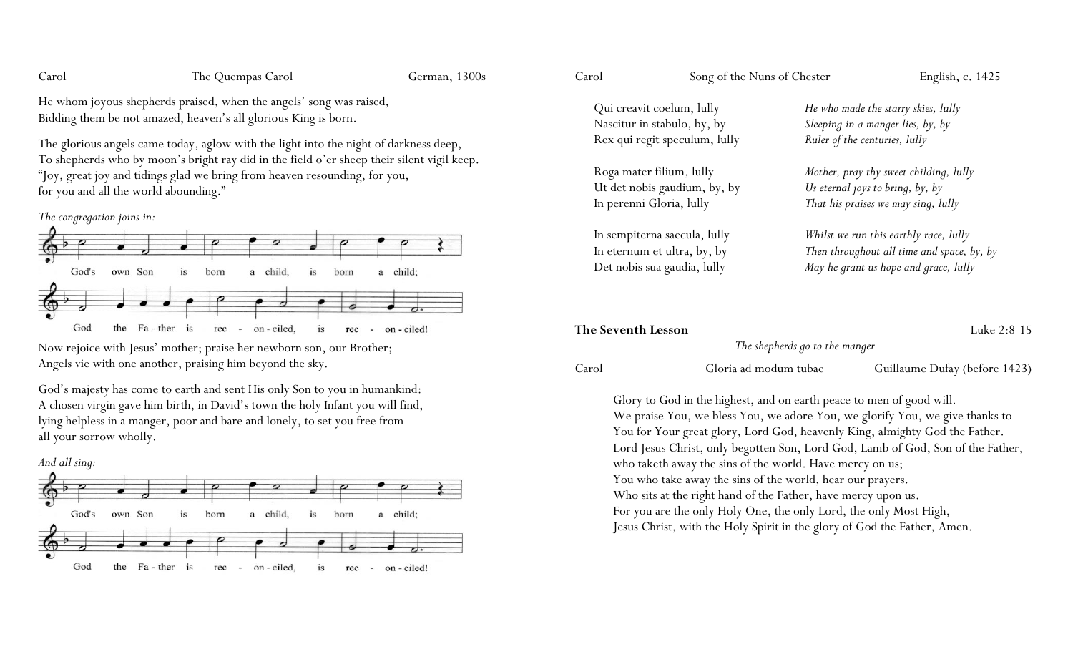Carol The Quempas Carol German, 1300s

He whom joyous shepherds praised, when the angels' song was raised, Bidding them be not amazed, heaven's all glorious King is born.

The glorious angels came today, aglow with the light into the night of darkness deep, To shepherds who by moon's bright ray did in the field o'er sheep their silent vigil keep. "Joy, great joy and tidings glad we bring from heaven resounding, for you, for you and all the world abounding."





Now rejoice with Jesus' mother; praise her newborn son, our Brother; Angels vie with one another, praising him beyond the sky.

God's majesty has come to earth and sent His only Son to you in humankind: A chosen virgin gave him birth, in David's town the holy Infant you will find, lying helpless in a manger, poor and bare and lonely, to set you free from all your sorrow wholly.



Carol Song of the Nuns of Chester English, c. 1425

Qui creavit coelum, lully *He who made the starry skies, lully* Rex qui regit speculum, lully *Ruler of the centuries, lully*

Ut det nobis gaudium, by, by *Us eternal joys to bring, by, by*

Nascitur in stabulo, by, by *Sleeping in a manger lies, by, by*

Roga mater filium, lully *Mother, pray thy sweet childing, lully* In perenni Gloria, lully *That his praises we may sing, lully*

In sempiterna saecula, lully *Whilst we run this earthly race, lully* In eternum et ultra, by, by *Then throughout all time and space, by, by* Det nobis sua gaudia, lully *May he grant us hope and grace, lully*

| <b>The Seventh Lesson</b> |                                | Luke $2:8-15$                 |
|---------------------------|--------------------------------|-------------------------------|
|                           | The shepherds go to the manger |                               |
| Carol                     | Gloria ad modum tubae          | Guillaume Dufay (before 1423) |

Glory to God in the highest, and on earth peace to men of good will. We praise You, we bless You, we adore You, we glorify You, we give thanks to You for Your great glory, Lord God, heavenly King, almighty God the Father. Lord Jesus Christ, only begotten Son, Lord God, Lamb of God, Son of the Father, who taketh away the sins of the world. Have mercy on us; You who take away the sins of the world, hear our prayers. Who sits at the right hand of the Father, have mercy upon us. For you are the only Holy One, the only Lord, the only Most High, Jesus Christ, with the Holy Spirit in the glory of God the Father, Amen.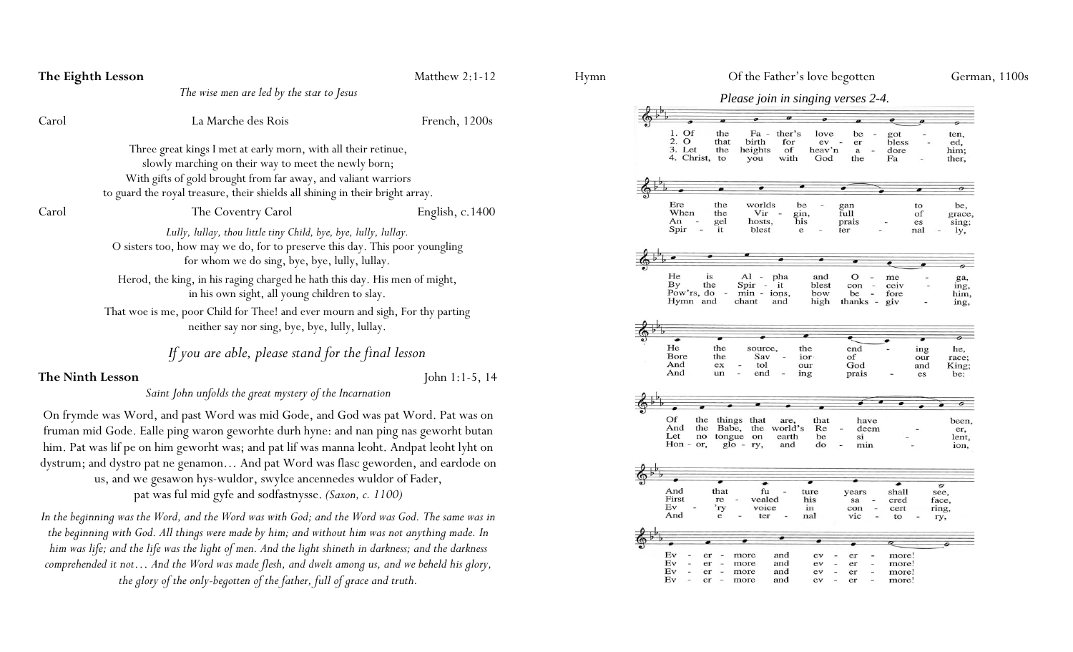| The Eighth Lesson                                                                                                                                                                               |                                                                                                                                                                                                                                                                                                                                                                                                                                                                                             | Matthew 2:1-12    |  |  |  |  |
|-------------------------------------------------------------------------------------------------------------------------------------------------------------------------------------------------|---------------------------------------------------------------------------------------------------------------------------------------------------------------------------------------------------------------------------------------------------------------------------------------------------------------------------------------------------------------------------------------------------------------------------------------------------------------------------------------------|-------------------|--|--|--|--|
|                                                                                                                                                                                                 | The wise men are led by the star to Jesus                                                                                                                                                                                                                                                                                                                                                                                                                                                   |                   |  |  |  |  |
| Carol                                                                                                                                                                                           | La Marche des Rois                                                                                                                                                                                                                                                                                                                                                                                                                                                                          | French, 1200s     |  |  |  |  |
|                                                                                                                                                                                                 | Three great kings I met at early morn, with all their retinue,<br>slowly marching on their way to meet the newly born;<br>With gifts of gold brought from far away, and valiant warriors<br>to guard the royal treasure, their shields all shining in their bright array.                                                                                                                                                                                                                   |                   |  |  |  |  |
| Carol                                                                                                                                                                                           | The Coventry Carol                                                                                                                                                                                                                                                                                                                                                                                                                                                                          | English, $c.1400$ |  |  |  |  |
| Lully, lullay, thou little tiny Child, bye, bye, lully, lullay.<br>O sisters too, how may we do, for to preserve this day. This poor youngling<br>for whom we do sing, bye, bye, lully, lullay. |                                                                                                                                                                                                                                                                                                                                                                                                                                                                                             |                   |  |  |  |  |
|                                                                                                                                                                                                 | Herod, the king, in his raging charged he hath this day. His men of might,<br>in his own sight, all young children to slay.                                                                                                                                                                                                                                                                                                                                                                 |                   |  |  |  |  |
|                                                                                                                                                                                                 | That woe is me, poor Child for Thee! and ever mourn and sigh, For thy parting<br>neither say nor sing, bye, bye, lully, lullay.                                                                                                                                                                                                                                                                                                                                                             |                   |  |  |  |  |
|                                                                                                                                                                                                 | If you are able, please stand for the final lesson                                                                                                                                                                                                                                                                                                                                                                                                                                          |                   |  |  |  |  |
| The Ninth Lesson                                                                                                                                                                                |                                                                                                                                                                                                                                                                                                                                                                                                                                                                                             | John 1:1-5, $14$  |  |  |  |  |
|                                                                                                                                                                                                 | Saint John unfolds the great mystery of the Incarnation                                                                                                                                                                                                                                                                                                                                                                                                                                     |                   |  |  |  |  |
|                                                                                                                                                                                                 | On frymde was Word, and past Word was mid Gode, and God was pat Word. Pat was on<br>fruman mid Gode. Ealle ping waron geworhte durh hyne: and nan ping nas geworht butan<br>him. Pat was lif pe on him geworht was; and pat lif was manna leoht. Andpat leoht lyht on<br>dystrum; and dystro pat ne genamon And pat Word was flasc geworden, and eardode on<br>us, and we gesawon hys-wuldor, swylce ancennedes wuldor of Fader,<br>pat was ful mid gyfe and sodfastnysse. (Saxon, c. 1100) |                   |  |  |  |  |
|                                                                                                                                                                                                 | In the beginning was the Word, and the Word was with God; and the Word was God. The same was in<br>the beginning with God. All things were made by him; and without him was not anything made. In<br>him was life; and the life was the light of men. And the light shineth in darkness; and the darkness<br>comprehended it not And the Word was made flesh, and dwelt among us, and we beheld his glory,                                                                                  |                   |  |  |  |  |

*the glory of the only-begotten of the father, full of grace and truth.*

#### *Please join in singing verses 2-4.*

|            |          |                          |              | o                    | Φ                        | ø        |              |                          | ø                       |           |                  |
|------------|----------|--------------------------|--------------|----------------------|--------------------------|----------|--------------|--------------------------|-------------------------|-----------|------------------|
|            |          |                          |              |                      |                          |          |              |                          |                         |           | ó                |
| 1. Of      |          | the                      |              | $Fa -$               | ther's                   | love     | be           | ÷,                       | got                     |           | ten,             |
| 2. O       |          | that                     |              | birth                | for                      | ev       | er           |                          | bless                   |           | ed,              |
| 3. Let     |          | the                      |              | heights              | of                       | heav'n   | $\mathbf{a}$ |                          | dore                    |           | him;             |
| 4. Christ, |          | to                       |              | you                  | with                     | God      | the          |                          | Fa                      |           | ther,            |
|            |          |                          |              |                      |                          |          |              |                          |                         |           |                  |
|            |          |                          |              |                      |                          |          |              |                          |                         |           |                  |
|            |          |                          |              |                      |                          |          |              |                          |                         |           |                  |
|            |          | ø                        |              |                      |                          |          |              |                          |                         | $\bullet$ | o                |
|            |          |                          |              |                      |                          |          |              |                          |                         |           |                  |
| Ere        |          | the                      |              | worlds               |                          | be       | gan          |                          |                         | to        | be,              |
| When       |          | the                      |              | Vir                  | $\overline{\phantom{a}}$ | gin,     | full         |                          |                         | of        | grace,           |
| An         |          | gel                      |              | hosts,               |                          | his      | prais        |                          |                         | es        | sing;            |
| Spir       |          | it                       |              | blest                |                          | e        | ter          |                          |                         | nal       | ly,              |
|            |          |                          |              |                      |                          |          |              |                          |                         |           |                  |
|            |          |                          |              |                      |                          |          |              |                          |                         |           |                  |
|            |          |                          |              |                      |                          |          |              |                          |                         |           |                  |
|            |          |                          |              |                      |                          |          |              |                          |                         |           |                  |
| He         | is       |                          |              | $Al - pha$           |                          | and      | $\circ$      |                          | me                      |           | ga,              |
| By         | the      |                          |              | Spir                 | $- it$                   | blest    | con          | $\overline{\phantom{a}}$ | ceiv                    |           | ing,             |
| Pow'rs, do |          | $\overline{\phantom{a}}$ |              | $min - ions$ ,       |                          | bow      | be           | $\overline{\phantom{a}}$ | fore                    |           | him,             |
| Hymn and   |          |                          | chant        |                      | and                      | high     | thanks -     |                          | giv                     |           |                  |
|            |          |                          |              |                      |                          |          |              |                          |                         |           | ing,             |
|            |          |                          |              |                      |                          |          |              |                          |                         |           |                  |
|            |          |                          |              |                      |                          |          |              |                          |                         |           |                  |
|            |          |                          |              |                      |                          |          |              |                          |                         |           |                  |
|            |          |                          |              |                      |                          |          |              |                          |                         |           | o                |
|            |          |                          |              |                      |                          |          |              |                          |                         |           |                  |
| He         |          | the                      |              | source,              |                          | the      | end          |                          |                         | ing       | he,              |
| Bore       |          | the                      |              | Sav                  |                          | ior.     | of           |                          |                         | our       |                  |
| And        |          | ex                       |              | tol                  |                          | our      |              |                          |                         |           | race;            |
| And        |          | un                       |              | end                  |                          |          | God          |                          |                         | and       | King;            |
|            |          |                          |              |                      |                          | ing      | prais        |                          |                         | es        | be:              |
|            |          |                          |              |                      |                          |          |              |                          |                         |           |                  |
|            |          |                          |              |                      |                          |          |              |                          |                         |           |                  |
|            |          |                          |              | $\bullet$            |                          |          |              |                          |                         |           |                  |
|            |          |                          |              |                      |                          |          |              |                          |                         |           |                  |
| Of         | the      |                          |              | things that          | are,                     | that     |              | have                     |                         |           | been,            |
| And        | the      |                          | Babe,        |                      | the world's              | Re       |              | deem                     |                         |           | er,              |
| Let        | no       |                          | tongue       | on                   | earth                    | be       | si           |                          |                         |           | lent,            |
| Hon - or,  |          |                          |              | $g$ lo - $ry$ ,      | and                      | do       | min          |                          |                         |           | ion,             |
|            |          |                          |              |                      |                          |          |              |                          |                         |           |                  |
|            |          |                          |              |                      |                          |          |              |                          |                         |           |                  |
|            |          |                          |              |                      |                          |          |              |                          |                         |           |                  |
|            |          |                          |              | $\overline{\bullet}$ |                          |          |              |                          |                         |           |                  |
| And        |          | that                     |              | fu                   |                          | ture     | years        |                          | shall                   |           | $\sigma$<br>see, |
| First      |          | re                       |              | vealed               |                          | his      | sa           |                          | cred                    |           | face,            |
| Ev         |          | 'ry                      |              | voice                |                          | in       | con          |                          | cert                    |           | ring,            |
| And        |          | e                        |              | ter                  |                          | nal      | vic          |                          | to                      |           |                  |
|            |          |                          |              |                      |                          |          |              |                          |                         |           | ry,              |
|            |          |                          |              |                      |                          |          |              |                          |                         |           |                  |
|            |          |                          |              |                      |                          |          |              |                          |                         |           |                  |
|            |          |                          |              |                      |                          |          |              |                          | $\overline{\mathbf{z}}$ |           | o                |
| Ev         | er       | ×,                       | more         |                      | and                      | ev       | er           |                          | more!                   |           |                  |
| Ev         | er       | $\overline{\phantom{0}}$ | more         |                      | and                      | ev       | er           |                          | more!                   |           |                  |
| Ev<br>Ev   | er<br>er | $\overline{\phantom{a}}$ | more<br>more |                      | and<br>and               | ev<br>ev | er<br>er     |                          | more!<br>more!          |           |                  |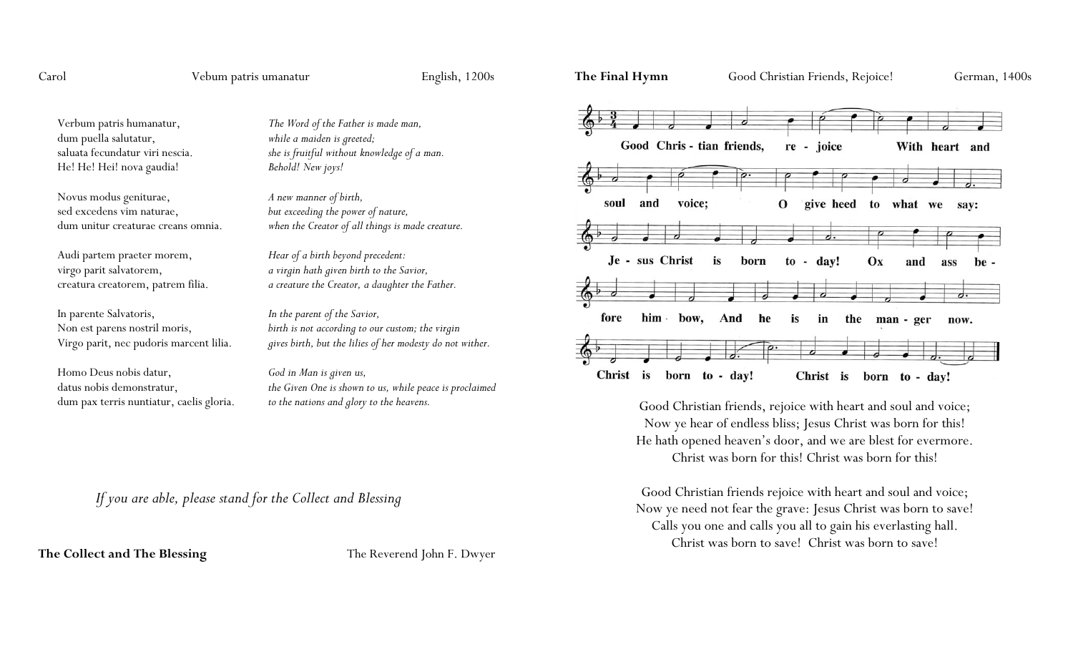Carol Vebum patris umanatur English, 1200s

Verbum patris humanatur, *The Word of the Father is made man,* dum puella salutatur, *while a maiden is greeted;* He! He! Hei! nova gaudia! *Behold! New joys!*

Novus modus geniturae, *A new manner of birth,* sed excedens vim naturae, *but exceeding the power of nature,*

Audi partem praeter morem, *Hear of a birth beyond precedent:*

In parente Salvatoris, *In the parent of the Savior,*

Homo Deus nobis datur, *God in Man is given us,* dum pax terris nuntiatur, caelis gloria. *to the nations and glory to the heavens.*

saluata fecundatur viri nescia. *she is fruitful without knowledge of a man.*

dum unitur creaturae creans omnia. *when the Creator of all things is made creature.*

virgo parit salvatorem, *a virgin hath given birth to the Savior,* creatura creatorem, patrem filia. *a creature the Creator, a daughter the Father.*

Non est parens nostril moris, *birth is not according to our custom; the virgin* Virgo parit, nec pudoris marcent lilia. *gives birth, but the lilies of her modesty do not wither.*

datus nobis demonstratur, *the Given One is shown to us, while peace is proclaimed*

*If you are able, please stand for the Collect and Blessing*

**The Collect and The Blessing The Reverend John F. Dwyer** 



Good Christian friends, rejoice with heart and soul and voice; Now ye hear of endless bliss; Jesus Christ was born for this! He hath opened heaven's door, and we are blest for evermore. Christ was born for this! Christ was born for this!

Good Christian friends rejoice with heart and soul and voice; Now ye need not fear the grave: Jesus Christ was born to save! Calls you one and calls you all to gain his everlasting hall. Christ was born to save! Christ was born to save!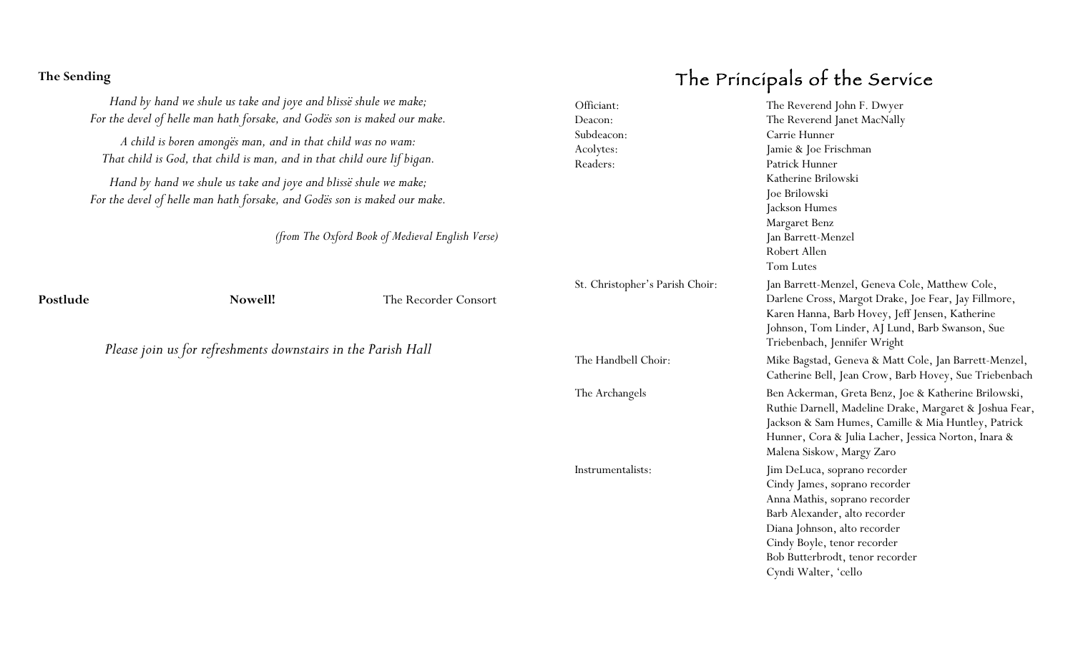#### **The Sending**

*Hand by hand we shule us take and joye and blissë shule we make; For the devel of helle man hath forsake, and Godës son is maked our make.*

*A child is boren amongës man, and in that child was no wam: That child is God, that child is man, and in that child oure lif bigan.*

*Hand by hand we shule us take and joye and blissë shule we make; For the devel of helle man hath forsake, and Godës son is maked our make.*

*(from The Oxford Book of Medieval English Verse)*

**Postlude Nowell!** The Recorder Consort

*Please join us for refreshments downstairs in the Parish Hall*

# The Principals of the Service

| Officiant:<br>Deacon:<br>Subdeacon:<br>Acolytes:<br>Readers: | The Reverend John F. Dwyer<br>The Reverend Janet MacNally<br>Carrie Hunner<br>Jamie & Joe Frischman<br>Patrick Hunner<br>Katherine Brilowski<br>Joe Brilowski<br>Jackson Humes<br>Margaret Benz<br>Jan Barrett-Menzel<br>Robert Allen<br>Tom Lutes          |
|--------------------------------------------------------------|-------------------------------------------------------------------------------------------------------------------------------------------------------------------------------------------------------------------------------------------------------------|
| St. Christopher's Parish Choir:                              | Jan Barrett-Menzel, Geneva Cole, Matthew Cole,<br>Darlene Cross, Margot Drake, Joe Fear, Jay Fillmore,<br>Karen Hanna, Barb Hovey, Jeff Jensen, Katherine<br>Johnson, Tom Linder, AJ Lund, Barb Swanson, Sue<br>Triebenbach, Jennifer Wright                |
| The Handbell Choir:                                          | Mike Bagstad, Geneva & Matt Cole, Jan Barrett-Menzel,<br>Catherine Bell, Jean Crow, Barb Hovey, Sue Triebenbach                                                                                                                                             |
| The Archangels                                               | Ben Ackerman, Greta Benz, Joe & Katherine Brilowski,<br>Ruthie Darnell, Madeline Drake, Margaret & Joshua Fear,<br>Jackson & Sam Humes, Camille & Mia Huntley, Patrick<br>Hunner, Cora & Julia Lacher, Jessica Norton, Inara &<br>Malena Siskow, Margy Zaro |
| Instrumentalists:                                            | Jim DeLuca, soprano recorder<br>Cindy James, soprano recorder<br>Anna Mathis, soprano recorder<br>Barb Alexander, alto recorder<br>Diana Johnson, alto recorder<br>Cindy Boyle, tenor recorder<br>Bob Butterbrodt, tenor recorder<br>Cyndi Walter, 'cello   |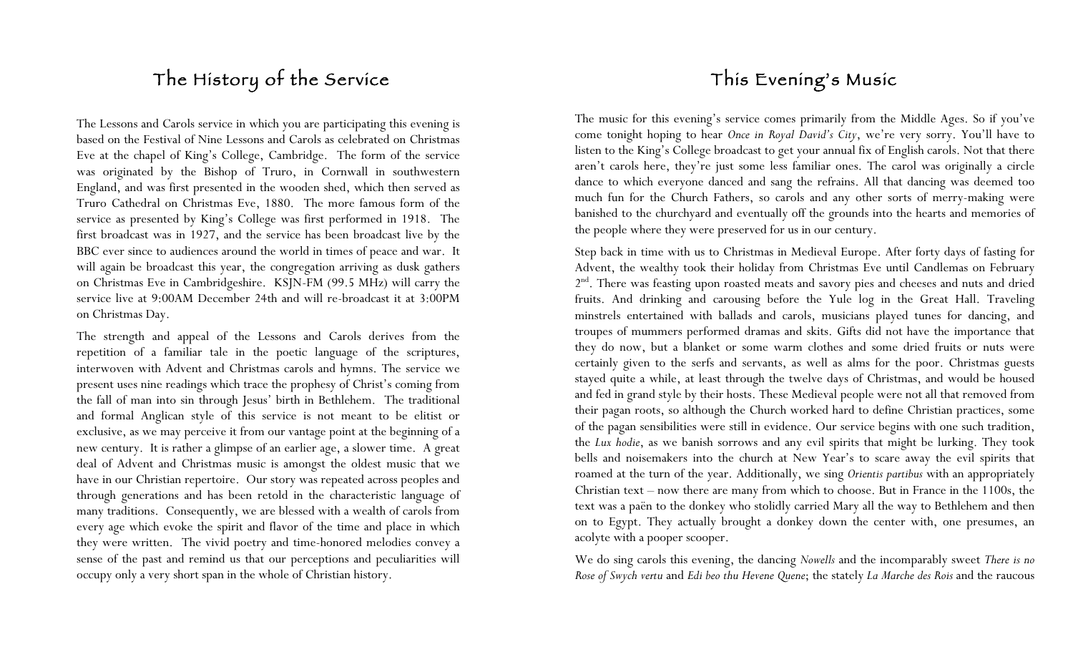## The History of the Service

The Lessons and Carols service in which you are participating this evening is based on the Festival of Nine Lessons and Carols as celebrated on Christmas Eve at the chapel of King's College, Cambridge. The form of the service was originated by the Bishop of Truro, in Cornwall in southwestern England, and was first presented in the wooden shed, which then served as Truro Cathedral on Christmas Eve, 1880. The more famous form of the service as presented by King's College was first performed in 1918. The first broadcast was in 1927, and the service has been broadcast live by the BBC ever since to audiences around the world in times of peace and war. It will again be broadcast this year, the congregation arriving as dusk gathers on Christmas Eve in Cambridgeshire. KSJN-FM (99.5 MHz) will carry the service live at 9:00AM December 24th and will re-broadcast it at 3:00PM on Christmas Day.

The strength and appeal of the Lessons and Carols derives from the repetition of a familiar tale in the poetic language of the scriptures, interwoven with Advent and Christmas carols and hymns. The service we present uses nine readings which trace the prophesy of Christ's coming from the fall of man into sin through Jesus' birth in Bethlehem. The traditional and formal Anglican style of this service is not meant to be elitist or exclusive, as we may perceive it from our vantage point at the beginning of a new century. It is rather a glimpse of an earlier age, a slower time. A great deal of Advent and Christmas music is amongst the oldest music that we have in our Christian repertoire. Our story was repeated across peoples and through generations and has been retold in the characteristic language of many traditions. Consequently, we are blessed with a wealth of carols from every age which evoke the spirit and flavor of the time and place in which they were written. The vivid poetry and time-honored melodies convey a sense of the past and remind us that our perceptions and peculiarities will occupy only a very short span in the whole of Christian history.

# This Evening's Music

The music for this evening's service comes primarily from the Middle Ages. So if you've come tonight hoping to hear *Once in Royal David's City*, we're very sorry. You'll have to listen to the King's College broadcast to get your annual fix of English carols. Not that there aren't carols here, they're just some less familiar ones. The carol was originally a circle dance to which everyone danced and sang the refrains. All that dancing was deemed too much fun for the Church Fathers, so carols and any other sorts of merry-making were banished to the churchyard and eventually off the grounds into the hearts and memories of the people where they were preserved for us in our century.

Step back in time with us to Christmas in Medieval Europe. After forty days of fasting for Advent, the wealthy took their holiday from Christmas Eve until Candlemas on February 2<sup>nd</sup>. There was feasting upon roasted meats and savory pies and cheeses and nuts and dried fruits. And drinking and carousing before the Yule log in the Great Hall. Traveling minstrels entertained with ballads and carols, musicians played tunes for dancing, and troupes of mummers performed dramas and skits. Gifts did not have the importance that they do now, but a blanket or some warm clothes and some dried fruits or nuts were certainly given to the serfs and servants, as well as alms for the poor. Christmas guests stayed quite a while, at least through the twelve days of Christmas, and would be housed and fed in grand style by their hosts. These Medieval people were not all that removed from their pagan roots, so although the Church worked hard to define Christian practices, some of the pagan sensibilities were still in evidence. Our service begins with one such tradition, the *Lux hodie*, as we banish sorrows and any evil spirits that might be lurking. They took bells and noisemakers into the church at New Year's to scare away the evil spirits that roamed at the turn of the year. Additionally, we sing *Orientis partibus* with an appropriately Christian text – now there are many from which to choose. But in France in the 1100s, the text was a paën to the donkey who stolidly carried Mary all the way to Bethlehem and then on to Egypt. They actually brought a donkey down the center with, one presumes, an acolyte with a pooper scooper.

We do sing carols this evening, the dancing *Nowells* and the incomparably sweet *There is no Rose of Swych vertu* and *Edi beo thu Hevene Quene*; the stately *La Marche des Rois* and the raucous